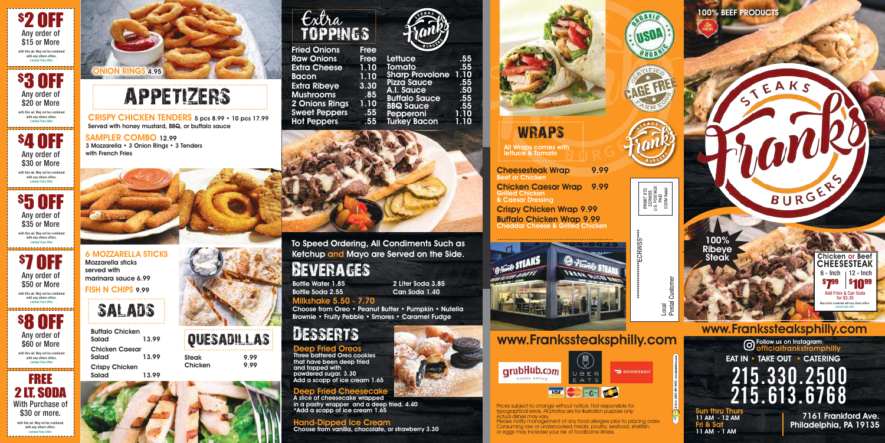7161 Frankford Ave. Philadelphia, PA 19135

Sun thru Thurs 11 AM - 12 AM Fri & Sc 11 AM - 1 AM

To Speed Ordering, All Condiments Such as Ketchup and Mayo are Served on the Side.

### TOPPINGS Extra



Prices subject to change without notice. Not responsible for typographical errors. All photos are for illustration purpose only. Actual dishes may vary. Please notify management of any food allergies prior to placing order. Consuming raw or undercooked meats, poultry, seafood, shellfish, or eggs may increase your risk of foodborne illness.



### Beverages

Bottle Water 1.85 2 Liter Soda 3.85 Bottle Soda 2.55 Can Soda 1.40

| <b>Fried Onions</b>   | <b>Free</b> | $50N - 1$                          |            |
|-----------------------|-------------|------------------------------------|------------|
| <b>Raw Onions</b>     | <b>Free</b> | Lettuce                            | .55        |
| <b>Extra Cheese</b>   | 1.10        | <b>Tomato</b>                      | .55        |
| <b>Bacon</b>          | 1.10        | <b>Sharp Provolone</b>             | 1.10       |
| <b>Extra Ribeye</b>   | 3.30        | <b>Pizza Sauce</b>                 | .55        |
| <b>Mushrooms</b>      | .85         | A.I. Sauce<br><b>Buffalo Sauce</b> | .50<br>.55 |
| <b>2 Onions Rings</b> | 1.10        | <b>BBQ Squce</b>                   | .55        |
| <b>Sweet Peppers</b>  | .55         | Pepperoni                          | 1.10       |
| <b>Hot Peppers</b>    | .55         | <b>Turkey Bacon</b>                | 1.10       |
|                       |             |                                    |            |



#### Milkshake 5.50 - 7.70

Choose from Oreo • Peanut Butter • Pumpkin • Nutella Brownie • Fruity Pebble • Smores • Caramel Fudge

# Desserts

#### Deep Fried Oreos

Three battered Oreo cookies that have been deep fried and topped with powdered sugar. 3.30 Add a scopp of ice cream 1.65

#### **Deep Fried Che**

A slice of cheesecake wrapped in a pastry wrapper and a deep fried. 4.40 \*Add a scopp of ice cream 1.65

#### Hand-Dipped Ice Cream

Choose from vanilla, chocolate, or strawberry 3.30



EAT IN • TAKE OUT • CATERING officialfranksfromphilly Follow us on Instagram 215.330.2500 215.613.6768





Any order of \$30 or More with this ad. May not be combined

with any others offers. **Limited Time Off** 

\$5 OFF Any order of \$35 or More with this ad. May not be combined

with any others offers. Limited Time Offer





with this ad. May not be combined with any others offers. Limited Time Offer





EAKS

100% BEEF PRODUCT

# APPETIZERS

CRISPY CHICKEN TENDERS 5 pcs 8.99 • 10 pcs 17.99 Served with honey mustard, BBQ, or buffalo sauce

SAMPLER COMBO 12.99 3 Mozzarella • 3 Onion Rings • 3 Tenders with French Fries

10.99\$



#### 6 MOZZARELLA STICKS Mozzarella sticks served with marinara sauce 6.99 FISH N CHIPS 9.99





| <b>Cheesesteak Wrap</b>    | 9.99 |
|----------------------------|------|
| <b>Beef or Chicken</b>     |      |
| <b>Chicken Caesar Wrap</b> | 9.99 |
| <b>Grilled Chicken</b>     |      |
| & Caesar Dressing          |      |

Crispy Chicken Wrap 9.99 Buffalo Chicken Wrap 9.99 Cheddar Cheese & Grilled Chicken



# www.Frankssteaksphilly.com www.Frankssteaksphilly.com











CRWSS\*

|   | <u>Ictinmar</u><br>Ē |
|---|----------------------|
| ಔ | Doctal               |







Buffalo Chicken Salad 13.99 Chicken Caesar Salad 13.99 Crispy Chicken Salad 13.99



All Wraps comes with lettuce & Tomato